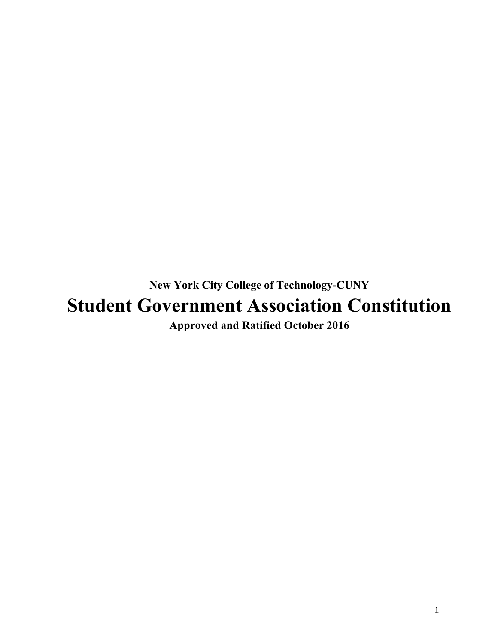**New York City College of Technology-CUNY Approved and Ratified October 2016 Student Government Association Constitution**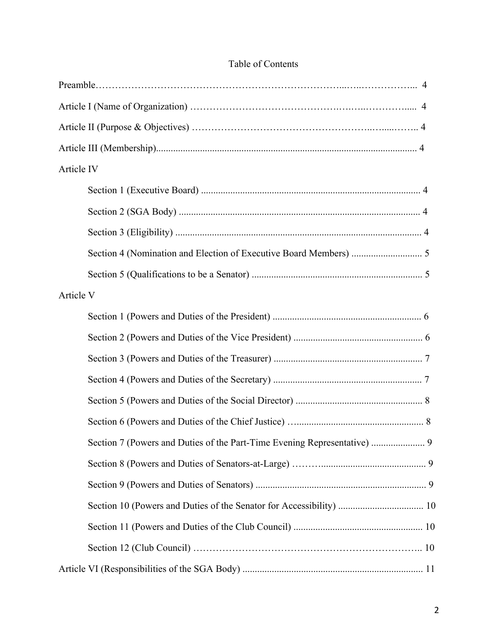| Table of Contents |  |
|-------------------|--|
|                   |  |
|                   |  |
|                   |  |
|                   |  |
| Article IV        |  |
|                   |  |
|                   |  |
|                   |  |
|                   |  |
|                   |  |
| Article V         |  |
|                   |  |
|                   |  |
|                   |  |
|                   |  |
|                   |  |
|                   |  |
|                   |  |
|                   |  |
|                   |  |
|                   |  |
|                   |  |
|                   |  |
|                   |  |

#### Table of Contents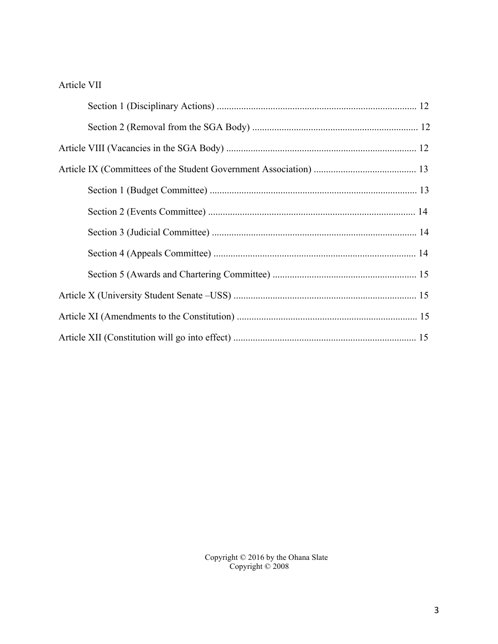## Article VII

Copyright © 2016 by the Ohana Slate Copyright © 2008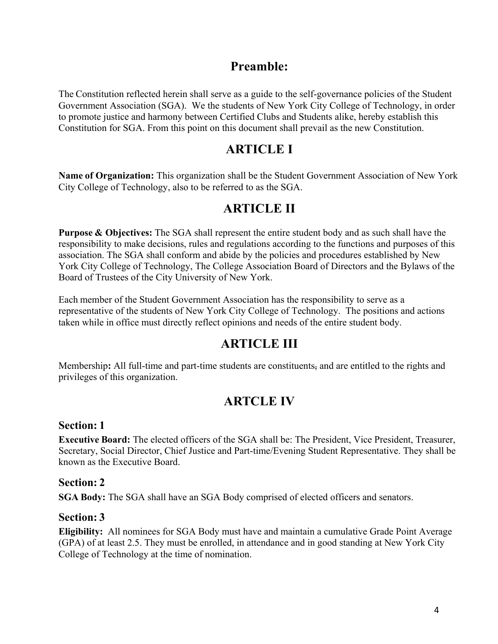# **Preamble:**

 Government Association (SGA). We the students of New York City College of Technology, in order Constitution for SGA. From this point on this document shall prevail as the new Constitution. The Constitution reflected herein shall serve as a guide to the self-governance policies of the Student to promote justice and harmony between Certified Clubs and Students alike, hereby establish this

# **ARTICLE I**

**Name of Organization:** This organization shall be the Student Government Association of New York City College of Technology, also to be referred to as the SGA.

# **ARTICLE II**

 association. The SGA shall conform and abide by the policies and procedures established by New York City College of Technology, The College Association Board of Directors and the Bylaws of the **Purpose & Objectives:** The SGA shall represent the entire student body and as such shall have the responsibility to make decisions, rules and regulations according to the functions and purposes of this Board of Trustees of the City University of New York.

Each member of the Student Government Association has the responsibility to serve as a representative of the students of New York City College of Technology. The positions and actions taken while in office must directly reflect opinions and needs of the entire student body.

# **ARTICLE III**

 Membership**:** All full-time and part-time students are constituents, and are entitled to the rights and privileges of this organization.

# **ARTCLE IV**

### **Section: 1**

 **Executive Board:** The elected officers of the SGA shall be: The President, Vice President, Treasurer, Secretary, Social Director, Chief Justice and Part-time/Evening Student Representative. They shall be known as the Executive Board.

#### **Section: 2**

**SGA Body:** The SGA shall have an SGA Body comprised of elected officers and senators.

### **Section: 3**

**Eligibility:** All nominees for SGA Body must have and maintain a cumulative Grade Point Average (GPA) of at least 2.5. They must be enrolled, in attendance and in good standing at New York City College of Technology at the time of nomination.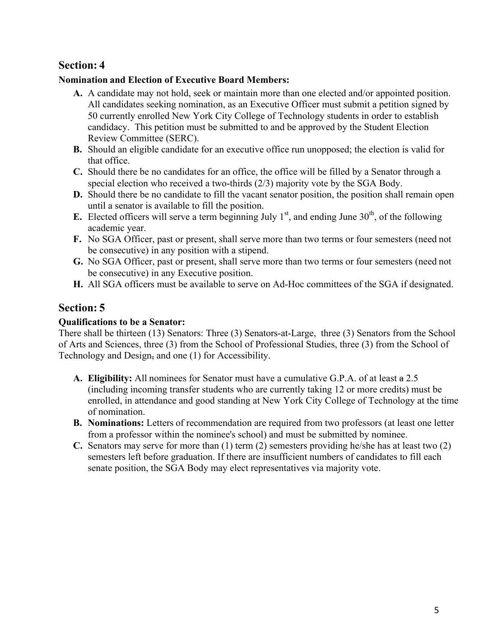### **Nomination and Election of Executive Board Members:**

- **A.** A candidate may not hold, seek or maintain more than one elected and/or appointed position. All candidates seeking nomination, as an Executive Officer must submit a petition signed by 50 currently enrolled New York City College of Technology students in order to establish candidacy. This petition must be submitted to and be approved by the Student Election Review Committee (SERC).
- **B.** Should an eligible candidate for an executive office run unopposed; the election is valid for that office.
- **C.** Should there be no candidates for an office, the office will be filled by a Senator through a special election who received a two-thirds (2/3) majority vote by the SGA Body.
- **D.** Should there be no candidate to fill the vacant senator position, the position shall remain open until a senator is available to fill the position.
- **E.** Elected officers will serve a term beginning July  $1<sup>st</sup>$ , and ending June  $30<sup>th</sup>$ , of the following academic year.
- **F.** No SGA Officer, past or present, shall serve more than two terms or four semesters (need not be consecutive) in any position with a stipend.
- **G.** No SGA Officer, past or present, shall serve more than two terms or four semesters (need not be consecutive) in any Executive position.
- **H.** All SGA officers must be available to serve on Ad-Hoc committees of the SGA if designated.

# **Section: 5**

#### **Qualifications to be a Senator:**

 There shall be thirteen (13) Senators: Three (3) Senators-at-Large, three (3) Senators from the School of Arts and Sciences, three (3) from the School of Professional Studies, three (3) from the School of Technology and Design, and one (1) for Accessibility.

- **A. Eligibility:** All nominees for Senator must have a cumulative G.P.A. of at least a 2.5 (including incoming transfer students who are currently taking 12 or more credits) must be enrolled, in attendance and good standing at New York City College of Technology at the time of nomination.
- **B. Nominations:** Letters of recommendation are required from two professors (at least one letter from a professor within the nominee's school) and must be submitted by nominee.
- **C.** Senators may serve for more than (1) term (2) semesters providing he/she has at least two (2) semesters left before graduation. If there are insufficient numbers of candidates to fill each senate position, the SGA Body may elect representatives via majority vote.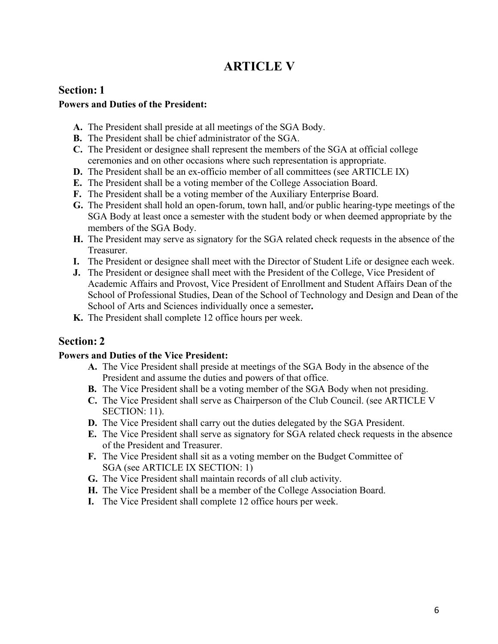# **ARTICLE V**

# **Section: 1**

#### **Powers and Duties of the President:**

- **A.** The President shall preside at all meetings of the SGA Body.
- **B.** The President shall be chief administrator of the SGA.
- **C.** The President or designee shall represent the members of the SGA at official college ceremonies and on other occasions where such representation is appropriate.
- **D.** The President shall be an ex-officio member of all committees (see ARTICLE IX)
- **E.** The President shall be a voting member of the College Association Board.
- **F.** The President shall be a voting member of the Auxiliary Enterprise Board.
- **G.** The President shall hold an open-forum, town hall, and/or public hearing-type meetings of the SGA Body at least once a semester with the student body or when deemed appropriate by the members of the SGA Body.
- **H.** The President may serve as signatory for the SGA related check requests in the absence of the Treasurer.
- **I.** The President or designee shall meet with the Director of Student Life or designee each week.
- **J.** The President or designee shall meet with the President of the College, Vice President of Academic Affairs and Provost, Vice President of Enrollment and Student Affairs Dean of the School of Professional Studies, Dean of the School of Technology and Design and Dean of the School of Arts and Sciences individually once a semester.
- K. The President shall complete 12 office hours per week.

# **Section: 2**

### **Powers and Duties of the Vice President:**

- **A.** The Vice President shall preside at meetings of the SGA Body in the absence of the President and assume the duties and powers of that office.
- **B.** The Vice President shall be a voting member of the SGA Body when not presiding.
- **C.** The Vice President shall serve as Chairperson of the Club Council. (see ARTICLE V SECTION: 11).
- **D.** The Vice President shall carry out the duties delegated by the SGA President.
- **E.** The Vice President shall serve as signatory for SGA related check requests in the absence of the President and Treasurer.
- **F.** The Vice President shall sit as a voting member on the Budget Committee of SGA (see ARTICLE IX SECTION: 1)
- **G.** The Vice President shall maintain records of all club activity.
- **H.** The Vice President shall be a member of the College Association Board.
- **I.** The Vice President shall complete 12 office hours per week.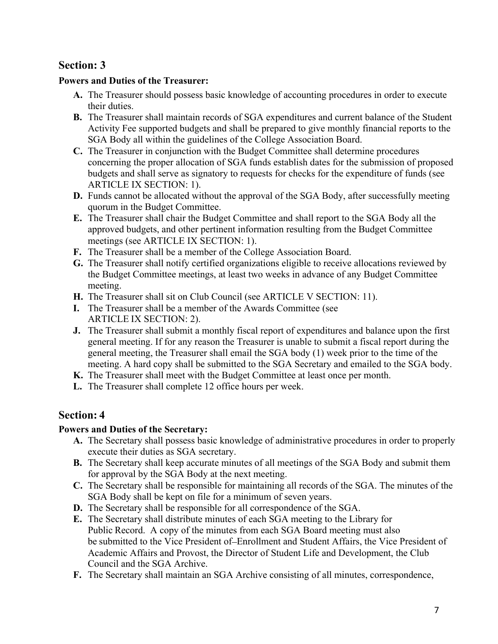#### **Powers and Duties of the Treasurer:**

- **A.** The Treasurer should possess basic knowledge of accounting procedures in order to execute their duties.
- SGA Body all within the guidelines of the College Association Board. **B.** The Treasurer shall maintain records of SGA expenditures and current balance of the Student Activity Fee supported budgets and shall be prepared to give monthly financial reports to the
- concerning the proper allocation of SGA funds establish dates for the submission of proposed **C.** The Treasurer in conjunction with the Budget Committee shall determine procedures budgets and shall serve as signatory to requests for checks for the expenditure of funds (see ARTICLE IX SECTION: 1).
- **D.** Funds cannot be allocated without the approval of the SGA Body, after successfully meeting quorum in the Budget Committee.
- **E.** The Treasurer shall chair the Budget Committee and shall report to the SGA Body all the approved budgets, and other pertinent information resulting from the Budget Committee meetings (see ARTICLE IX SECTION: 1).
- **F.** The Treasurer shall be a member of the College Association Board.
- **G.** The Treasurer shall notify certified organizations eligible to receive allocations reviewed by the Budget Committee meetings, at least two weeks in advance of any Budget Committee meeting.
- **H.** The Treasurer shall sit on Club Council (see ARTICLE V SECTION: 11).
- **I.** The Treasurer shall be a member of the Awards Committee (see ARTICLE IX SECTION: 2).
- **J.** The Treasurer shall submit a monthly fiscal report of expenditures and balance upon the first general meeting. If for any reason the Treasurer is unable to submit a fiscal report during the general meeting, the Treasurer shall email the SGA body (1) week prior to the time of the meeting. A hard copy shall be submitted to the SGA Secretary and emailed to the SGA body.
- **K.** The Treasurer shall meet with the Budget Committee at least once per month.
- **L.** The Treasurer shall complete 12 office hours per week.

# **Section: 4**

### **Powers and Duties of the Secretary:**

- **A.** The Secretary shall possess basic knowledge of administrative procedures in order to properly execute their duties as SGA secretary.
- **B.** The Secretary shall keep accurate minutes of all meetings of the SGA Body and submit them for approval by the SGA Body at the next meeting.
- SGA Body shall be kept on file for a minimum of seven years. **C.** The Secretary shall be responsible for maintaining all records of the SGA. The minutes of the
- **D.** The Secretary shall be responsible for all correspondence of the SGA.
- **E.** The Secretary shall distribute minutes of each SGA meeting to the Library for be submitted to the Vice President of-Enrollment and Student Affairs, the Vice President of Public Record. A copy of the minutes from each SGA Board meeting must also Academic Affairs and Provost, the Director of Student Life and Development, the Club Council and the SGA Archive.
- **F.** The Secretary shall maintain an SGA Archive consisting of all minutes, correspondence,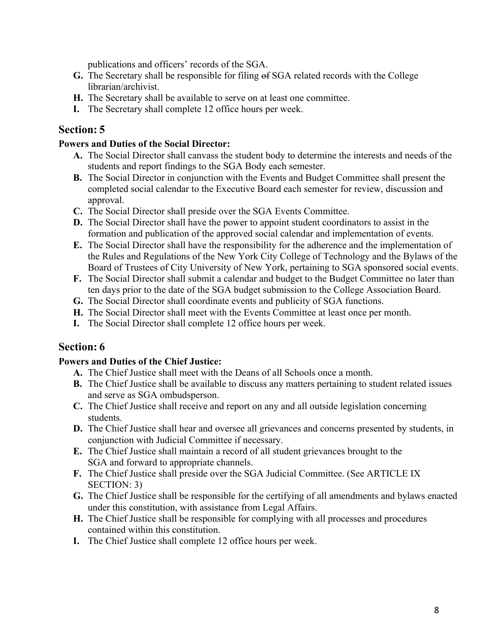publications and officers' records of the SGA.

- **G.** The Secretary shall be responsible for filing of SGA related records with the College librarian/archivist.
- **H.** The Secretary shall be available to serve on at least one committee.
- **I.** The Secretary shall complete 12 office hours per week.

# **Section: 5**

#### **Powers and Duties of the Social Director:**

- students and report findings to the SGA Body each semester. **A.** The Social Director shall canvass the student body to determine the interests and needs of the
- **B.** The Social Director in conjunction with the Events and Budget Committee shall present the completed social calendar to the Executive Board each semester for review, discussion and approval.
- **C.** The Social Director shall preside over the SGA Events Committee.
- **D.** The Social Director shall have the power to appoint student coordinators to assist in the formation and publication of the approved social calendar and implementation of events.
- **E.** The Social Director shall have the responsibility for the adherence and the implementation of the Rules and Regulations of the New York City College of Technology and the Bylaws of the Board of Trustees of City University of New York, pertaining to SGA sponsored social events.
- **F.** The Social Director shall submit a calendar and budget to the Budget Committee no later than ten days prior to the date of the SGA budget submission to the College Association Board.
- **G.** The Social Director shall coordinate events and publicity of SGA functions.
- **H.** The Social Director shall meet with the Events Committee at least once per month.
- **I.** The Social Director shall complete 12 office hours per week.

# **Section: 6**

#### **Powers and Duties of the Chief Justice:**

- **A.** The Chief Justice shall meet with the Deans of all Schools once a month.
- **B.** The Chief Justice shall be available to discuss any matters pertaining to student related issues and serve as SGA ombudsperson.
- **C.** The Chief Justice shall receive and report on any and all outside legislation concerning students.
- conjunction with Judicial Committee if necessary. **D.** The Chief Justice shall hear and oversee all grievances and concerns presented by students, in
- **E.** The Chief Justice shall maintain a record of all student grievances brought to the SGA and forward to appropriate channels.
- **F.** The Chief Justice shall preside over the SGA Judicial Committee. (See ARTICLE IX SECTION: 3)
- **G.** The Chief Justice shall be responsible for the certifying of all amendments and bylaws enacted under this constitution, with assistance from Legal Affairs.
- **H.** The Chief Justice shall be responsible for complying with all processes and procedures contained within this constitution.
- **I.** The Chief Justice shall complete 12 office hours per week.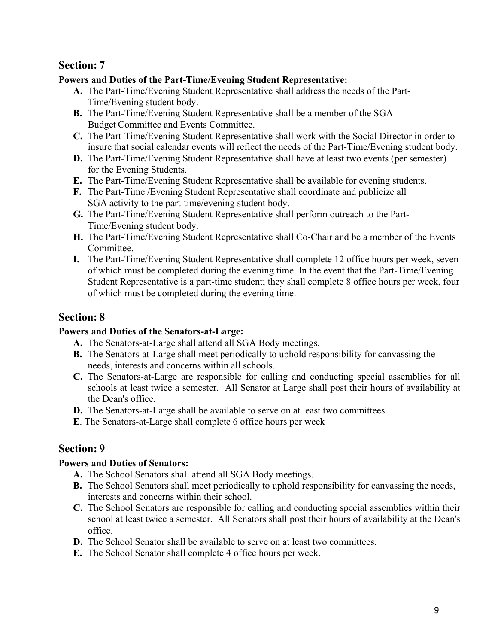#### **Powers and Duties of the Part-Time/Evening Student Representative:**

- **A.** The Part-Time/Evening Student Representative shall address the needs of the Part-Time/Evening student body.
- **B.** The Part-Time/Evening Student Representative shall be a member of the SGA Budget Committee and Events Committee.
- insure that social calendar events will reflect the needs of the Part-Time/Evening student body. **C.** The Part-Time/Evening Student Representative shall work with the Social Director in order to
- **D.** The Part-Time/Evening Student Representative shall have at least two events (per semester) for the Evening Students.
- **E.** The Part-Time/Evening Student Representative shall be available for evening students.
- **F.** The Part-Time /Evening Student Representative shall coordinate and publicize all SGA activity to the part-time/evening student body.
- **G.** The Part-Time/Evening Student Representative shall perform outreach to the Part-Time/Evening student body.
- **H.** The Part-Time/Evening Student Representative shall Co-Chair and be a member of the Events Committee.
- **I.** The Part-Time/Evening Student Representative shall complete 12 office hours per week, seven Student Representative is a part-time student; they shall complete 8 office hours per week, four of which must be completed during the evening time. In the event that the Part-Time/Evening of which must be completed during the evening time.

# **Section: 8**

#### **Powers and Duties of the Senators-at-Large:**

- **A.** The Senators-at-Large shall attend all SGA Body meetings.
- **B.** The Senators-at-Large shall meet periodically to uphold responsibility for canvassing the needs, interests and concerns within all schools.
- **C.** The Senators-at-Large are responsible for calling and conducting special assemblies for all schools at least twice a semester. All Senator at Large shall post their hours of availability at the Dean's office.
- **D.** The Senators-at-Large shall be available to serve on at least two committees.
- **E**. The Senators-at-Large shall complete 6 office hours per week

# **Section: 9**

### **Powers and Duties of Senators:**

- **A.** The School Senators shall attend all SGA Body meetings.
- **B.** The School Senators shall meet periodically to uphold responsibility for canvassing the needs, interests and concerns within their school.
- **C.** The School Senators are responsible for calling and conducting special assemblies within their school at least twice a semester. All Senators shall post their hours of availability at the Dean's office.
- **D.** The School Senator shall be available to serve on at least two committees.
- **E.** The School Senator shall complete 4 office hours per week.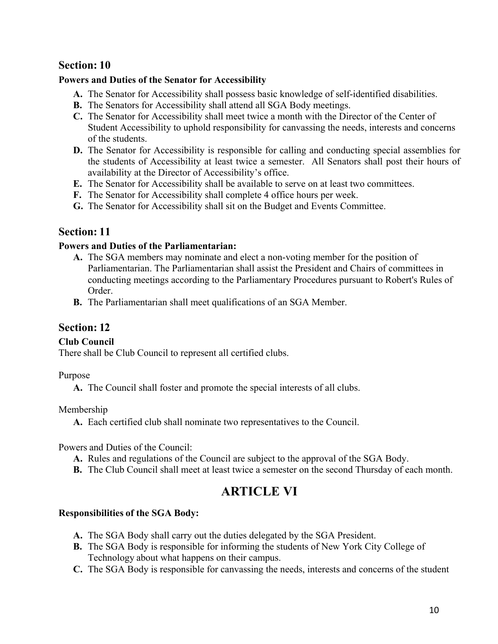#### <span id="page-9-0"></span> **Powers and Duties of the Senator for Accessibility**

- **A.** The Senator for Accessibility shall possess basic knowledge of self-identified disabilities.
- **B.** The Senators for Accessibility shall attend all SGA Body meetings.
- of the students. **C.** The Senator for Accessibility shall meet twice a month with the Director of the Center of Student Accessibility to uphold responsibility for canvassing the needs, interests and concerns
- **D.** The Senator for Accessibility is responsible for calling and conducting special assemblies for the students of Accessibility at least twice a semester. All Senators shall post their hours of availability at the Director of Accessibility's office.
- **E.** The Senator for Accessibility shall be available to serve on at least two committees.
- **F.** The Senator for Accessibility shall complete 4 office hours per week.
- **G.** The Senator for Accessibility shall sit on the Budget and Events Committee.

# **Section: 11**

#### **Powers and Duties of the Parliamentarian:**

- Parliamentarian. The Parliamentarian shall assist the President and Chairs of committees in conducting meetings according to the Parliamentary Procedures pursuant to Robert's Rules of **A.** The SGA members may nominate and elect a non-voting member for the position of Order.
- **B.** The Parliamentarian shall meet qualifications of an SGA Member.

# **Section: 12**

### **Club Council**

There shall be Club Council to represent all certified clubs.

Purpose

**A.** The Council shall foster and promote the special interests of all clubs.

Membership

**A.** Each certified club shall nominate two representatives to the Council.

Powers and Duties of the Council:

- **A.** Rules and regulations of the Council are subject to the approval of the SGA Body.
- **B.** The Club Council shall meet at least twice a semester on the second Thursday of each month.

# **ARTICLE VI**

### **Responsibilities of the SGA Body:**

- **A.** The SGA Body shall carry out the duties delegated by the SGA President.
- Technology about what happens on their campus. **B.** The SGA Body is responsible for informing the students of New York City College of
- **C.** The SGA Body is responsible for canvassing the needs, interests and concerns of the student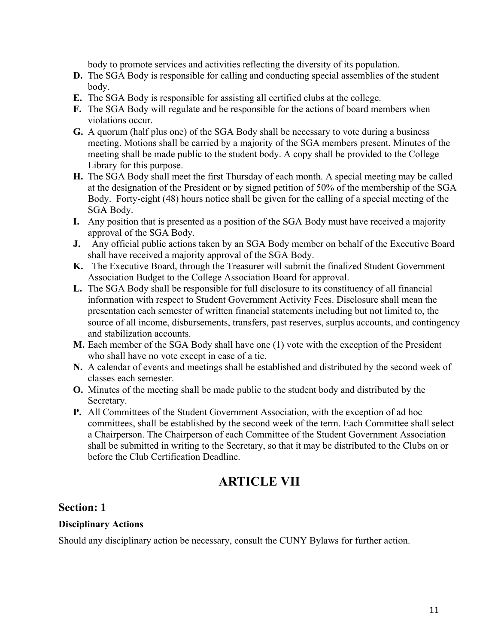body to promote services and activities reflecting the diversity of its population.

- <span id="page-10-0"></span>**D.** The SGA Body is responsible for calling and conducting special assemblies of the student body.
- **E.** The SGA Body is responsible for assisting all certified clubs at the college.
- **F.** The SGA Body will regulate and be responsible for the actions of board members when violations occur.
- **G.** A quorum (half plus one) of the SGA Body shall be necessary to vote during a business meeting. Motions shall be carried by a majority of the SGA members present. Minutes of the meeting shall be made public to the student body. A copy shall be provided to the College Library for this purpose.
- **H.** The SGA Body shall meet the first Thursday of each month. A special meeting may be called at the designation of the President or by signed petition of 50% of the membership of the SGA Body. Forty-eight (48) hours notice shall be given for the calling of a special meeting of the SGA Body.
- **I.** Any position that is presented as a position of the SGA Body must have received a majority approval of the SGA Body.
- **J.** Any official public actions taken by an SGA Body member on behalf of the Executive Board shall have received a majority approval of the SGA Body.
- **K.** The Executive Board, through the Treasurer will submit the finalized Student Government Association Budget to the College Association Board for approval.
- **L.** The SGA Body shall be responsible for full disclosure to its constituency of all financial information with respect to Student Government Activity Fees. Disclosure shall mean the presentation each semester of written financial statements including but not limited to, the source of all income, disbursements, transfers, past reserves, surplus accounts, and contingency and stabilization accounts.
- who shall have no vote except in case of a tie. **M.** Each member of the SGA Body shall have one (1) vote with the exception of the President
- **N.** A calendar of events and meetings shall be established and distributed by the second week of classes each semester.
- **O.** Minutes of the meeting shall be made public to the student body and distributed by the Secretary.
- **P.** All Committees of the Student Government Association, with the exception of ad hoc committees, shall be established by the second week of the term. Each Committee shall select shall be submitted in writing to the Secretary, so that it may be distributed to the Clubs on or before the Club Certification Deadline. a Chairperson. The Chairperson of each Committee of the Student Government Association

# **ARTICLE VII**

## **Section: 1**

#### **Disciplinary Actions**

Should any disciplinary action be necessary, consult the CUNY Bylaws for further action.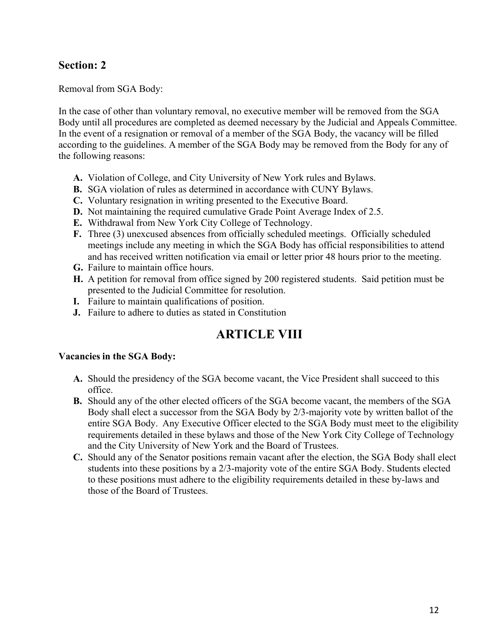<span id="page-11-0"></span>Removal from SGA Body:

 according to the guidelines. A member of the SGA Body may be removed from the Body for any of In the case of other than voluntary removal, no executive member will be removed from the SGA Body until all procedures are completed as deemed necessary by the Judicial and Appeals Committee. In the event of a resignation or removal of a member of the SGA Body, the vacancy will be filled the following reasons:

- **A.** Violation of College, and City University of New York rules and Bylaws.
- **B.** SGA violation of rules as determined in accordance with CUNY Bylaws.
- **C.** Voluntary resignation in writing presented to the Executive Board.
- **D.** Not maintaining the required cumulative Grade Point Average Index of 2.5.
- **E.** Withdrawal from New York City College of Technology.
- meetings include any meeting in which the SGA Body has official responsibilities to attend and has received written notification via email or letter prior 48 hours prior to the meeting. **F.** Three (3) unexcused absences from officially scheduled meetings. Officially scheduled
- **G.** Failure to maintain office hours.
- **H.** A petition for removal from office signed by 200 registered students. Said petition must be presented to the Judicial Committee for resolution.
- **I.** Failure to maintain qualifications of position.
- **J.** Failure to adhere to duties as stated in Constitution

# **ARTICLE VIII**

#### **Vacancies in the SGA Body:**

- **A.** Should the presidency of the SGA become vacant, the Vice President shall succeed to this office.
- Body shall elect a successor from the SGA Body by 2/3-majority vote by written ballot of the entire SGA Body. Any Executive Officer elected to the SGA Body must meet to the eligibility **B.** Should any of the other elected officers of the SGA become vacant, the members of the SGA requirements detailed in these bylaws and those of the New York City College of Technology and the City University of New York and the Board of Trustees.
- **C.** Should any of the Senator positions remain vacant after the election, the SGA Body shall elect students into these positions by a 2/3-majority vote of the entire SGA Body. Students elected to these positions must adhere to the eligibility requirements detailed in these by-laws and those of the Board of Trustees.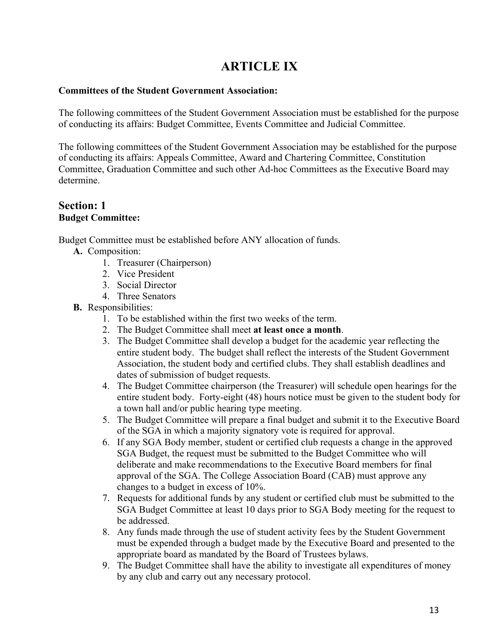# **ARTICLE IX**

#### <span id="page-12-0"></span>**Committees of the Student Government Association:**

The following committees of the Student Government Association must be established for the purpose of conducting its affairs: Budget Committee, Events Committee and Judicial Committee.

The following committees of the Student Government Association may be established for the purpose of conducting its affairs: Appeals Committee, Award and Chartering Committee, Constitution Committee, Graduation Committee and such other Ad-hoc Committees as the Executive Board may determine.

#### **Section: 1 Budget Committee:**

Budget Committee must be established before ANY allocation of funds.

**A.** Composition:

- 1. Treasurer (Chairperson)
- 2. Vice President
- 3. Social Director
- 4. Three Senators
- **B.** Responsibilities:
	- 1. To be established within the first two weeks of the term.
	- 2. The Budget Committee shall meet **at least once a month**.
	- 3. The Budget Committee shall develop a budget for the academic year reflecting the entire student body. The budget shall reflect the interests of the Student Government Association, the student body and certified clubs. They shall establish deadlines and dates of submission of budget requests.
	- 4. The Budget Committee chairperson (the Treasurer) will schedule open hearings for the entire student body. Forty-eight (48) hours notice must be given to the student body for a town hall and/or public hearing type meeting.
	- 5. The Budget Committee will prepare a final budget and submit it to the Executive Board of the SGA in which a majority signatory vote is required for approval.
	- 6. If any SGA Body member, student or certified club requests a change in the approved SGA Budget, the request must be submitted to the Budget Committee who will deliberate and make recommendations to the Executive Board members for final approval of the SGA. The College Association Board (CAB) must approve any changes to a budget in excess of 10%.
	- 7. Requests for additional funds by any student or certified club must be submitted to the SGA Budget Committee at least 10 days prior to SGA Body meeting for the request to be addressed.
	- appropriate board as mandated by the Board of Trustees bylaws. 8. Any funds made through the use of student activity fees by the Student Government must be expended through a budget made by the Executive Board and presented to the
	- by any club and carry out any necessary protocol. 9. The Budget Committee shall have the ability to investigate all expenditures of money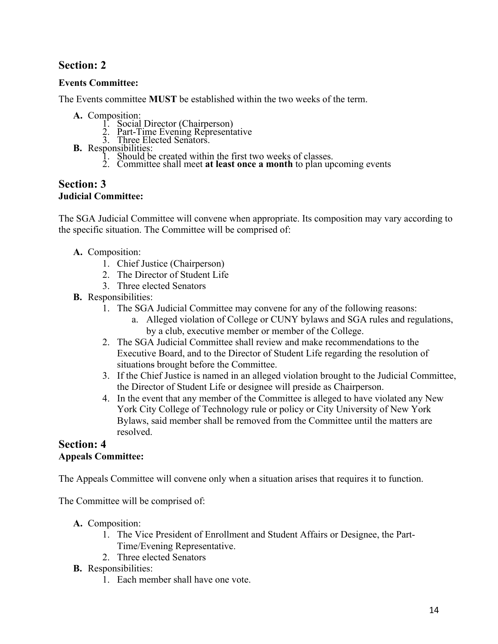## <span id="page-13-0"></span>**Events Committee:**

The Events committee **MUST** be established within the two weeks of the term.

- -
- **A. Composition:** 1. Social Director (Chairperson) 2. Part-Time Evening Representative 3. Three Elected Senators.
	-
- 
- **B.** Responsibilities:<br>1. Should be created within the first two weeks of classes.
	- 2. Committee shall meet **at least once a month** to plan upcoming events

#### **Section: 3 Judicial Committee:**

The SGA Judicial Committee will convene when appropriate. Its composition may vary according to the specific situation. The Committee will be comprised of:

### **A.** Composition:

- 1. Chief Justice (Chairperson)
- 2. The Director of Student Life
- 3. Three elected Senators
- **B.** Responsibilities:
	- 1. The SGA Judicial Committee may convene for any of the following reasons:
		- a. Alleged violation of College or CUNY bylaws and SGA rules and regulations, by a club, executive member or member of the College.
	- 2. The SGA Judicial Committee shall review and make recommendations to the Executive Board, and to the Director of Student Life regarding the resolution of situations brought before the Committee.
	- the Director of Student Life or designee will preside as Chairperson. 3. If the Chief Justice is named in an alleged violation brought to the Judicial Committee,
	- 4. In the event that any member of the Committee is alleged to have violated any New York City College of Technology rule or policy or City University of New York Bylaws, said member shall be removed from the Committee until the matters are resolved.

#### **Section: 4 Appeals Committee:**

The Appeals Committee will convene only when a situation arises that requires it to function.

The Committee will be comprised of:

- **A.** Composition:
	- 1. The Vice President of Enrollment and Student Affairs or Designee, the Part-Time/Evening Representative.
	- 2. Three elected Senators
- **B.** Responsibilities:
	- 1. Each member shall have one vote.